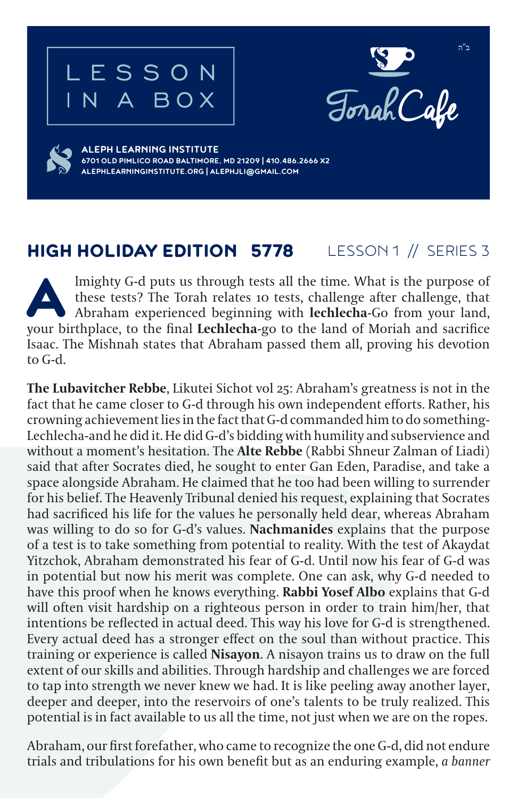## LESSON N A BOX



**ALEPH LEARNING INSTITUTE 6701 OLD PIMLICO ROAD BALTIMORE, MD 21209 | 410.486.2666 X2 ALEPHLEARNINGINSTITUTE.ORG | ALEPHJLI@GMAIL.COM**

## HIGH HOLIDAY EDITION 5778 LESSON 1 // SERIES 3

Imighty G-d puts us through tests all the time. What is the purpose of these tests? The Torah relates 10 tests, challenge after challenge, that Abraham experienced beginning with **lechlecha**-Go from your land, your birthpl these tests? The Torah relates 10 tests, challenge after challenge, that Abraham experienced beginning with **lechlecha**-Go from your land, your birthplace, to the final **Lechlecha**-go to the land of Moriah and sacrifice Isaac. The Mishnah states that Abraham passed them all, proving his devotion to G-d.

**The Lubavitcher Rebbe**, Likutei Sichot vol 25: Abraham's greatness is not in the fact that he came closer to G-d through his own independent efforts. Rather, his crowning achievement lies in the fact that G-d commanded him to do something-Lechlecha-and he did it. He did G-d's bidding with humility and subservience and without a moment's hesitation. The **Alte Rebbe** (Rabbi Shneur Zalman of Liadi) said that after Socrates died, he sought to enter Gan Eden, Paradise, and take a space alongside Abraham. He claimed that he too had been willing to surrender for his belief. The Heavenly Tribunal denied his request, explaining that Socrates had sacrificed his life for the values he personally held dear, whereas Abraham was willing to do so for G-d's values. **Nachmanides** explains that the purpose of a test is to take something from potential to reality. With the test of Akaydat Yitzchok, Abraham demonstrated his fear of G-d. Until now his fear of G-d was in potential but now his merit was complete. One can ask, why G-d needed to have this proof when he knows everything. **Rabbi Yosef Albo** explains that G-d will often visit hardship on a righteous person in order to train him/her, that intentions be reflected in actual deed. This way his love for G-d is strengthened. Every actual deed has a stronger effect on the soul than without practice. This training or experience is called **Nisayon**. A nisayon trains us to draw on the full extent of our skills and abilities. Through hardship and challenges we are forced to tap into strength we never knew we had. It is like peeling away another layer, deeper and deeper, into the reservoirs of one's talents to be truly realized. This potential is in fact available to us all the time, not just when we are on the ropes.

Abraham, our first forefather, who came to recognize the one G-d, did not endure trials and tribulations for his own benefit but as an enduring example, *a banner*